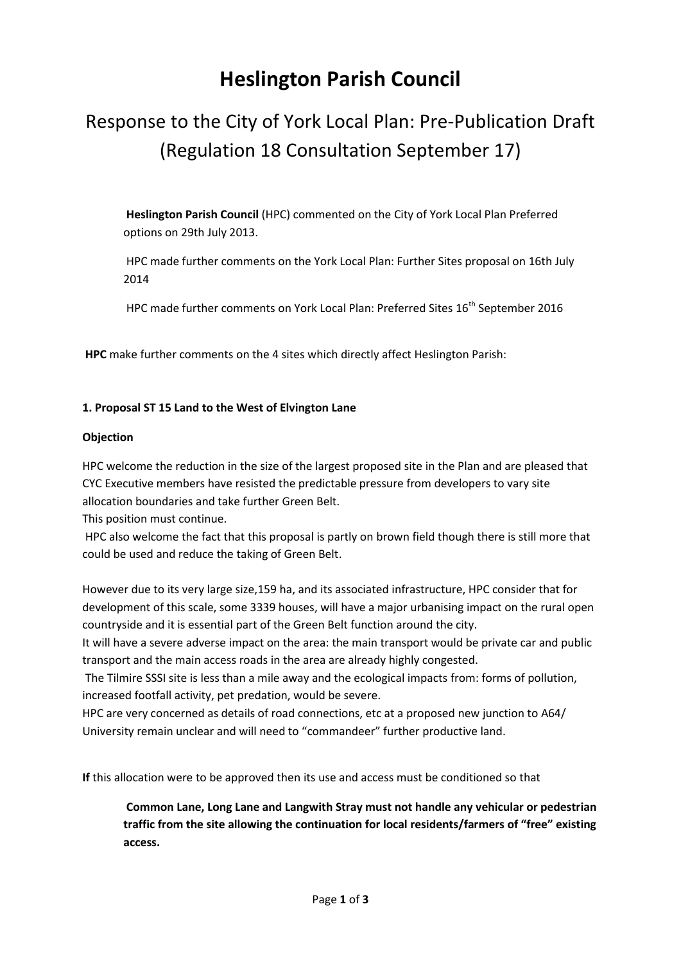## **Heslington Parish Council**

# Response to the City of York Local Plan: Pre-Publication Draft (Regulation 18 Consultation September 17)

**Heslington Parish Council** (HPC) commented on the City of York Local Plan Preferred options on 29th July 2013.

HPC made further comments on the York Local Plan: Further Sites proposal on 16th July 2014

HPC made further comments on York Local Plan: Preferred Sites 16<sup>th</sup> September 2016

**HPC** make further comments on the 4 sites which directly affect Heslington Parish:

## **1. Proposal ST 15 Land to the West of Elvington Lane**

#### **Objection**

HPC welcome the reduction in the size of the largest proposed site in the Plan and are pleased that CYC Executive members have resisted the predictable pressure from developers to vary site allocation boundaries and take further Green Belt.

This position must continue.

HPC also welcome the fact that this proposal is partly on brown field though there is still more that could be used and reduce the taking of Green Belt.

However due to its very large size,159 ha, and its associated infrastructure, HPC consider that for development of this scale, some 3339 houses, will have a major urbanising impact on the rural open countryside and it is essential part of the Green Belt function around the city.

It will have a severe adverse impact on the area: the main transport would be private car and public transport and the main access roads in the area are already highly congested.

The Tilmire SSSI site is less than a mile away and the ecological impacts from: forms of pollution, increased footfall activity, pet predation, would be severe.

HPC are very concerned as details of road connections, etc at a proposed new junction to A64/ University remain unclear and will need to "commandeer" further productive land.

**If** this allocation were to be approved then its use and access must be conditioned so that

**Common Lane, Long Lane and Langwith Stray must not handle any vehicular or pedestrian traffic from the site allowing the continuation for local residents/farmers of "free" existing access.**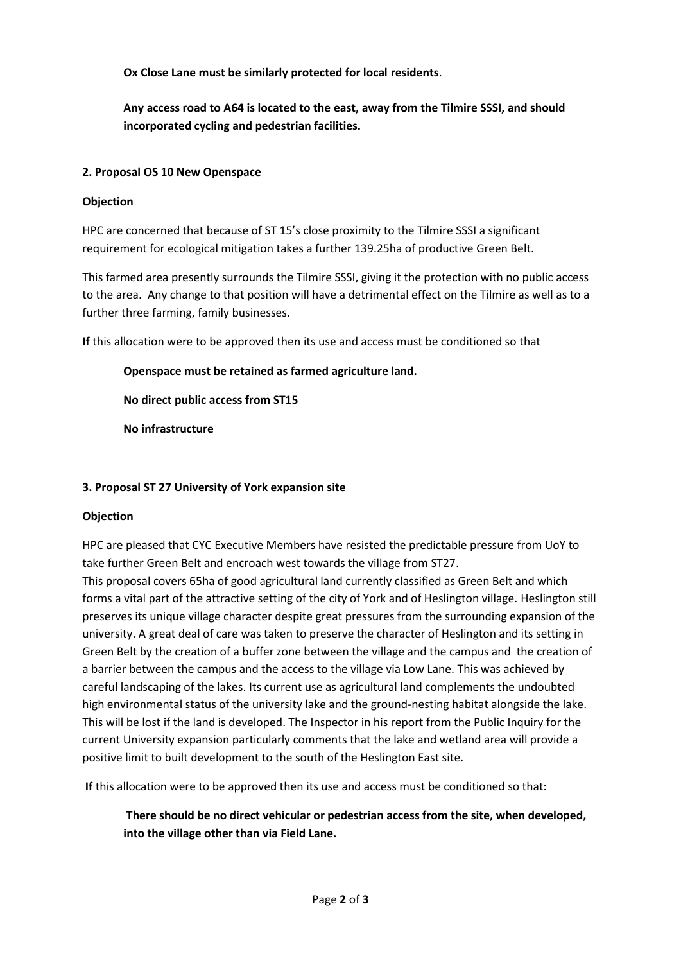**Ox Close Lane must be similarly protected for local residents**.

**Any access road to A64 is located to the east, away from the Tilmire SSSI, and should incorporated cycling and pedestrian facilities.**

## **2. Proposal OS 10 New Openspace**

## **Objection**

HPC are concerned that because of ST 15's close proximity to the Tilmire SSSI a significant requirement for ecological mitigation takes a further 139.25ha of productive Green Belt.

This farmed area presently surrounds the Tilmire SSSI, giving it the protection with no public access to the area. Any change to that position will have a detrimental effect on the Tilmire as well as to a further three farming, family businesses.

**If** this allocation were to be approved then its use and access must be conditioned so that

**Openspace must be retained as farmed agriculture land.**

**No direct public access from ST15**

**No infrastructure**

## **3. Proposal ST 27 University of York expansion site**

#### **Objection**

HPC are pleased that CYC Executive Members have resisted the predictable pressure from UoY to take further Green Belt and encroach west towards the village from ST27.

This proposal covers 65ha of good agricultural land currently classified as Green Belt and which forms a vital part of the attractive setting of the city of York and of Heslington village. Heslington still preserves its unique village character despite great pressures from the surrounding expansion of the university. A great deal of care was taken to preserve the character of Heslington and its setting in Green Belt by the creation of a buffer zone between the village and the campus and the creation of a barrier between the campus and the access to the village via Low Lane. This was achieved by careful landscaping of the lakes. Its current use as agricultural land complements the undoubted high environmental status of the university lake and the ground-nesting habitat alongside the lake. This will be lost if the land is developed. The Inspector in his report from the Public Inquiry for the current University expansion particularly comments that the lake and wetland area will provide a positive limit to built development to the south of the Heslington East site.

**If** this allocation were to be approved then its use and access must be conditioned so that:

**There should be no direct vehicular or pedestrian access from the site, when developed, into the village other than via Field Lane.**